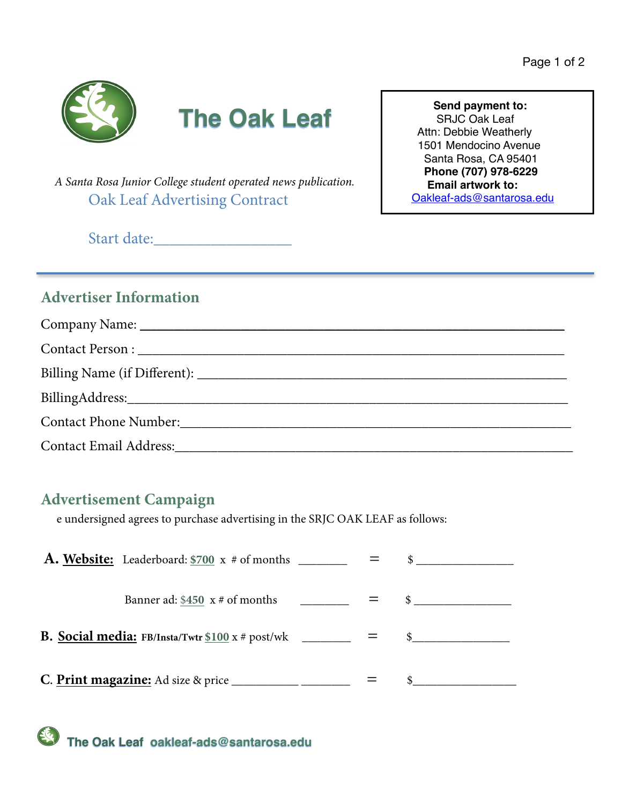

# **The Oak Leaf** Send payment to:

 *A Santa Rosa Junior College student operated news publication.* Oak Leaf Advertising Contract

SRJC Oak Leaf Attn: Debbie Weatherly 1501 Mendocino Avenue Santa Rosa, CA 95401  **Phone (707) 978-6229 Email artwork to:** [Oakleaf-ads@santarosa.edu](mailto:Oakleaf-ads@santarosa.edu)

Start date:

## **Advertiser Information**

| Contact Email Address: No. 1996. The Contact Email Address: |
|-------------------------------------------------------------|

## **Advertisement Campaign**

e undersigned agrees to purchase advertising in the SRJC OAK LEAF as follows:

| Banner ad: $$450 \times #$ of months                              |  |  |
|-------------------------------------------------------------------|--|--|
| <b>B. Social media:</b> FB/Insta/Twtr $$100 x # post/wk$ ________ |  |  |
| C. Print magazine: Ad size & price                                |  |  |